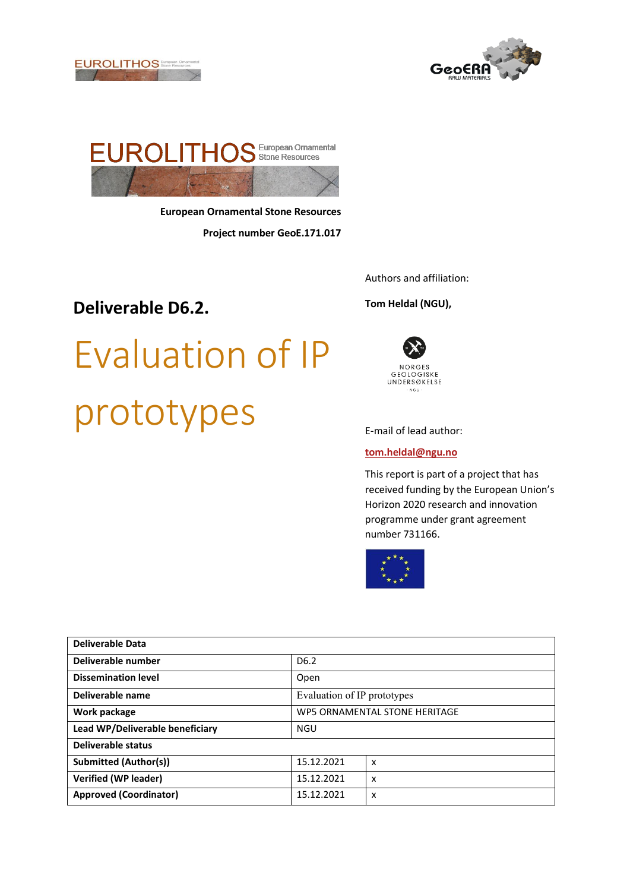





**European Ornamental Stone Resources Project number GeoE.171.017** 

### **Deliverable D6.2.**

# Evaluation of IP prototypes

Authors and affiliation:

#### **Tom Heldal (NGU),**



E-mail of lead author:

#### **[tom.heldal@ngu.no](mailto:tom.heldal@ngu.no)**

This report is part of a project that has received funding by the European Union's Horizon 2020 research and innovation programme under grant agreement number 731166.



| Deliverable Data                |                               |                           |  |  |  |  |
|---------------------------------|-------------------------------|---------------------------|--|--|--|--|
| Deliverable number              | D <sub>6.2</sub>              |                           |  |  |  |  |
| <b>Dissemination level</b>      | Open                          |                           |  |  |  |  |
| Deliverable name                | Evaluation of IP prototypes   |                           |  |  |  |  |
| Work package                    | WP5 ORNAMENTAL STONE HERITAGE |                           |  |  |  |  |
| Lead WP/Deliverable beneficiary | <b>NGU</b>                    |                           |  |  |  |  |
| Deliverable status              |                               |                           |  |  |  |  |
| <b>Submitted (Author(s))</b>    | 15.12.2021                    | $\boldsymbol{\mathsf{x}}$ |  |  |  |  |
| <b>Verified (WP leader)</b>     | 15.12.2021                    | $\boldsymbol{\mathsf{x}}$ |  |  |  |  |
| <b>Approved (Coordinator)</b>   | 15.12.2021                    | X                         |  |  |  |  |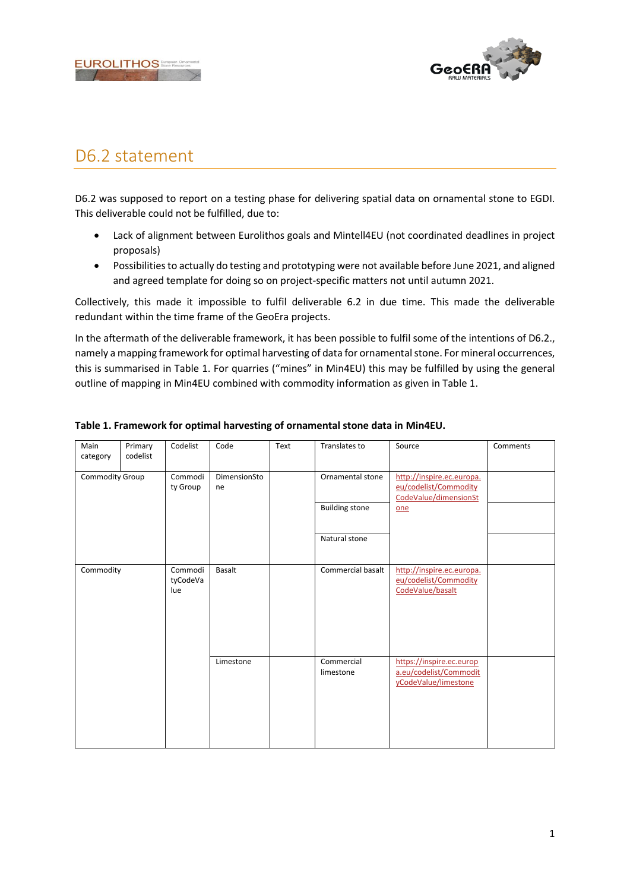



## D6.2 statement

D6.2 was supposed to report on a testing phase for delivering spatial data on ornamental stone to EGDI. This deliverable could not be fulfilled, due to:

- Lack of alignment between Eurolithos goals and Mintell4EU (not coordinated deadlines in project proposals)
- Possibilities to actually do testing and prototyping were not available before June 2021, and aligned and agreed template for doing so on project-specific matters not until autumn 2021.

Collectively, this made it impossible to fulfil deliverable 6.2 in due time. This made the deliverable redundant within the time frame of the GeoEra projects.

In the aftermath of the deliverable framework, it has been possible to fulfil some of the intentions of D6.2., namely a mapping framework for optimal harvesting of data for ornamental stone. For mineral occurrences, this is summarised in Table 1. For quarries ("mines" in Min4EU) this may be fulfilled by using the general outline of mapping in Min4EU combined with commodity information as given in Table 1.

| Main<br>category | Primary<br>codelist | Codelist                   | Code               | Text | Translates to           | Source                                                                      | Comments |
|------------------|---------------------|----------------------------|--------------------|------|-------------------------|-----------------------------------------------------------------------------|----------|
| Commodity Group  |                     | Commodi<br>ty Group        | DimensionSto<br>ne |      | Ornamental stone        | http://inspire.ec.europa.<br>eu/codelist/Commodity<br>CodeValue/dimensionSt |          |
|                  |                     |                            |                    |      | <b>Building stone</b>   | one                                                                         |          |
|                  |                     |                            |                    |      | Natural stone           |                                                                             |          |
| Commodity        |                     | Commodi<br>tyCodeVa<br>lue | <b>Basalt</b>      |      | Commercial basalt       | http://inspire.ec.europa.<br>eu/codelist/Commodity<br>CodeValue/basalt      |          |
|                  |                     |                            | Limestone          |      | Commercial<br>limestone | https://inspire.ec.europ<br>a.eu/codelist/Commodit<br>yCodeValue/limestone  |          |

#### **Table 1. Framework for optimal harvesting of ornamental stone data in Min4EU.**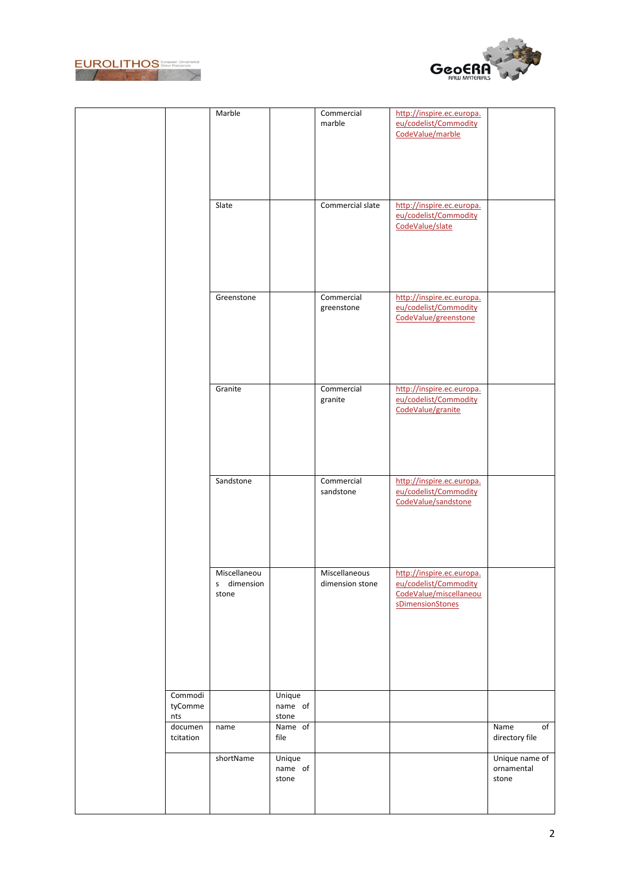



|           | Marble         |         | Commercial       | http://inspire.ec.europa. |                |
|-----------|----------------|---------|------------------|---------------------------|----------------|
|           |                |         | marble           | eu/codelist/Commodity     |                |
|           |                |         |                  | CodeValue/marble          |                |
|           |                |         |                  |                           |                |
|           |                |         |                  |                           |                |
|           |                |         |                  |                           |                |
|           |                |         |                  |                           |                |
|           |                |         |                  |                           |                |
|           |                |         |                  |                           |                |
|           |                |         |                  |                           |                |
|           | Slate          |         | Commercial slate | http://inspire.ec.europa. |                |
|           |                |         |                  | eu/codelist/Commodity     |                |
|           |                |         |                  | CodeValue/slate           |                |
|           |                |         |                  |                           |                |
|           |                |         |                  |                           |                |
|           |                |         |                  |                           |                |
|           |                |         |                  |                           |                |
|           |                |         |                  |                           |                |
|           |                |         |                  |                           |                |
|           |                |         |                  |                           |                |
|           | Greenstone     |         | Commercial       | http://inspire.ec.europa. |                |
|           |                |         |                  | eu/codelist/Commodity     |                |
|           |                |         | greenstone       |                           |                |
|           |                |         |                  | CodeValue/greenstone      |                |
|           |                |         |                  |                           |                |
|           |                |         |                  |                           |                |
|           |                |         |                  |                           |                |
|           |                |         |                  |                           |                |
|           |                |         |                  |                           |                |
|           |                |         |                  |                           |                |
|           |                |         |                  |                           |                |
|           | Granite        |         | Commercial       | http://inspire.ec.europa. |                |
|           |                |         | granite          | eu/codelist/Commodity     |                |
|           |                |         |                  | CodeValue/granite         |                |
|           |                |         |                  |                           |                |
|           |                |         |                  |                           |                |
|           |                |         |                  |                           |                |
|           |                |         |                  |                           |                |
|           |                |         |                  |                           |                |
|           |                |         |                  |                           |                |
|           |                |         |                  |                           |                |
|           | Sandstone      |         | Commercial       | http://inspire.ec.europa. |                |
|           |                |         | sandstone        | eu/codelist/Commodity     |                |
|           |                |         |                  | CodeValue/sandstone       |                |
|           |                |         |                  |                           |                |
|           |                |         |                  |                           |                |
|           |                |         |                  |                           |                |
|           |                |         |                  |                           |                |
|           |                |         |                  |                           |                |
|           |                |         |                  |                           |                |
|           |                |         |                  |                           |                |
|           | Miscellaneou   |         | Miscellaneous    | http://inspire.ec.europa. |                |
|           |                |         |                  | eu/codelist/Commodity     |                |
|           | dimension<br>s |         | dimension stone  |                           |                |
|           | stone          |         |                  | CodeValue/miscellaneou    |                |
|           |                |         |                  | sDimensionStones          |                |
|           |                |         |                  |                           |                |
|           |                |         |                  |                           |                |
|           |                |         |                  |                           |                |
|           |                |         |                  |                           |                |
|           |                |         |                  |                           |                |
|           |                |         |                  |                           |                |
|           |                |         |                  |                           |                |
|           |                |         |                  |                           |                |
|           |                |         |                  |                           |                |
| Commodi   |                | Unique  |                  |                           |                |
| tyComme   |                | name of |                  |                           |                |
| nts       |                | stone   |                  |                           |                |
| documen   | name           | Name of |                  |                           | Name<br>of     |
|           |                |         |                  |                           |                |
| tcitation |                | file    |                  |                           | directory file |
|           |                |         |                  |                           |                |
|           | shortName      | Unique  |                  |                           | Unique name of |
|           |                | name of |                  |                           | ornamental     |
|           |                | stone   |                  |                           | stone          |
|           |                |         |                  |                           |                |
|           |                |         |                  |                           |                |
|           |                |         |                  |                           |                |
|           |                |         |                  |                           |                |